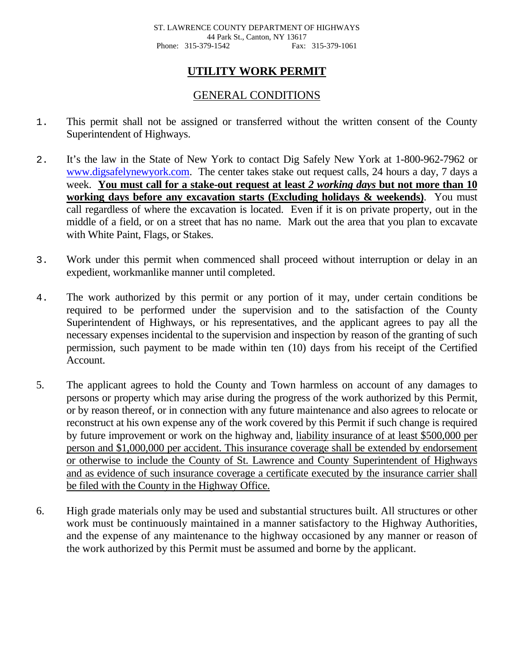## **UTILITY WORK PERMIT**

## GENERAL CONDITIONS

- 1. This permit shall not be assigned or transferred without the written consent of the County Superintendent of Highways.
- 2. It's the law in the State of New York to contact Dig Safely New York at 1-800-962-7962 or [www.digsafelynewyork.com.](http://www.digsafelynewyork.com/) The center takes stake out request calls, 24 hours a day, 7 days a week. **You must call for a stake-out request at least** *2 working days* **but not more than 10 working days before any excavation starts (Excluding holidays & weekends)**. You must call regardless of where the excavation is located. Even if it is on private property, out in the middle of a field, or on a street that has no name. Mark out the area that you plan to excavate with White Paint, Flags, or Stakes.
- 3. Work under this permit when commenced shall proceed without interruption or delay in an expedient, workmanlike manner until completed.
- 4. The work authorized by this permit or any portion of it may, under certain conditions be required to be performed under the supervision and to the satisfaction of the County Superintendent of Highways, or his representatives, and the applicant agrees to pay all the necessary expenses incidental to the supervision and inspection by reason of the granting of such permission, such payment to be made within ten (10) days from his receipt of the Certified Account.
- 5. The applicant agrees to hold the County and Town harmless on account of any damages to persons or property which may arise during the progress of the work authorized by this Permit, or by reason thereof, or in connection with any future maintenance and also agrees to relocate or reconstruct at his own expense any of the work covered by this Permit if such change is required by future improvement or work on the highway and, liability insurance of at least \$500,000 per person and \$1,000,000 per accident. This insurance coverage shall be extended by endorsement or otherwise to include the County of St. Lawrence and County Superintendent of Highways and as evidence of such insurance coverage a certificate executed by the insurance carrier shall be filed with the County in the Highway Office.
- 6. High grade materials only may be used and substantial structures built. All structures or other work must be continuously maintained in a manner satisfactory to the Highway Authorities, and the expense of any maintenance to the highway occasioned by any manner or reason of the work authorized by this Permit must be assumed and borne by the applicant.